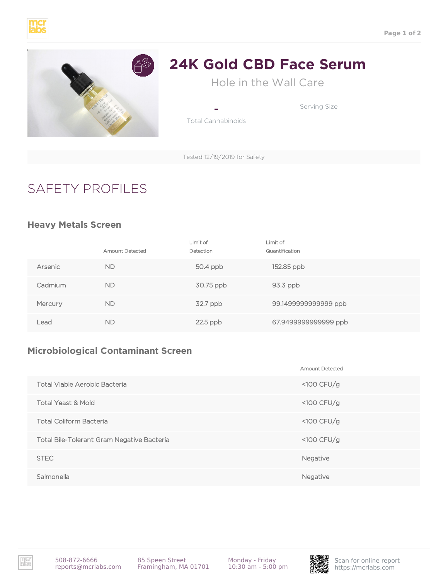



# **24K Gold CBD Face Serum**

Hole in the Wall Care

Serving Size

- Total Cannabinoids

Tested 12/19/2019 for Safety

# SAFETY PROFILES

#### **Heavy Metals Screen**

|         | <b>Amount Detected</b> | Limit of<br>Detection | Limit of<br>Quantification |
|---------|------------------------|-----------------------|----------------------------|
| Arsenic | <b>ND</b>              | 50.4 ppb              | 152.85 ppb                 |
| Cadmium | <b>ND</b>              | 30.75 ppb             | $93.3$ ppb                 |
| Mercury | <b>ND</b>              | 32.7 ppb              | 99.1499999999999 ppb       |
| Lead    | <b>ND</b>              | $22.5$ ppb            | 67.9499999999999 ppb       |

## **Microbiological Contaminant Screen**

|                                                   | <b>Amount Detected</b> |
|---------------------------------------------------|------------------------|
| <b>Total Viable Aerobic Bacteria</b>              | $<$ 100 CFU/g          |
| <b>Total Yeast &amp; Mold</b>                     | $<$ 100 CFU/g          |
| <b>Total Coliform Bacteria</b>                    | $<$ 100 CFU/g          |
| <b>Total Bile-Tolerant Gram Negative Bacteria</b> | $<$ 100 CFU/g          |
| <b>STEC</b>                                       | Negative               |
| Salmonella                                        | Negative               |

Monday - Friday 10:30 am - 5:00 pm